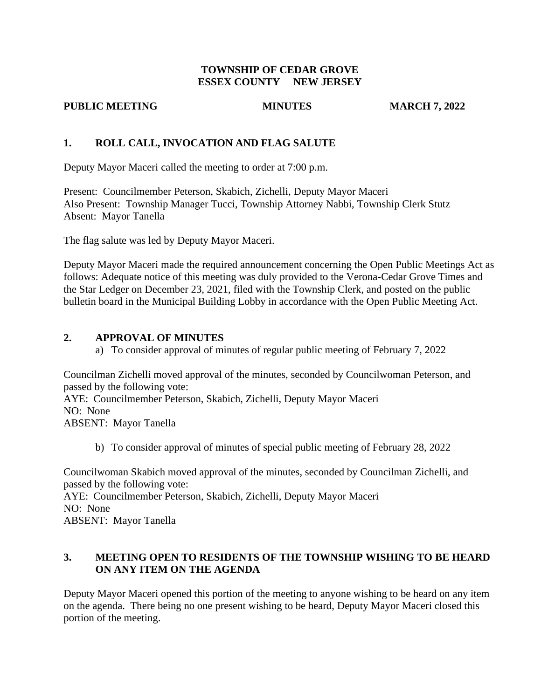#### **TOWNSHIP OF CEDAR GROVE ESSEX COUNTY NEW JERSEY**

#### **PUBLIC MEETING MINUTES MINUTES MARCH 7, 2022**

# **1. ROLL CALL, INVOCATION AND FLAG SALUTE**

Deputy Mayor Maceri called the meeting to order at 7:00 p.m.

Present: Councilmember Peterson, Skabich, Zichelli, Deputy Mayor Maceri Also Present: Township Manager Tucci, Township Attorney Nabbi, Township Clerk Stutz Absent: Mayor Tanella

The flag salute was led by Deputy Mayor Maceri.

Deputy Mayor Maceri made the required announcement concerning the Open Public Meetings Act as follows: Adequate notice of this meeting was duly provided to the Verona-Cedar Grove Times and the Star Ledger on December 23, 2021, filed with the Township Clerk, and posted on the public bulletin board in the Municipal Building Lobby in accordance with the Open Public Meeting Act.

## **2. APPROVAL OF MINUTES**

a) To consider approval of minutes of regular public meeting of February 7, 2022

Councilman Zichelli moved approval of the minutes, seconded by Councilwoman Peterson, and passed by the following vote:

AYE: Councilmember Peterson, Skabich, Zichelli, Deputy Mayor Maceri NO: None ABSENT: Mayor Tanella

b) To consider approval of minutes of special public meeting of February 28, 2022

Councilwoman Skabich moved approval of the minutes, seconded by Councilman Zichelli, and passed by the following vote:

AYE: Councilmember Peterson, Skabich, Zichelli, Deputy Mayor Maceri NO: None

ABSENT: Mayor Tanella

## **3. MEETING OPEN TO RESIDENTS OF THE TOWNSHIP WISHING TO BE HEARD ON ANY ITEM ON THE AGENDA**

Deputy Mayor Maceri opened this portion of the meeting to anyone wishing to be heard on any item on the agenda. There being no one present wishing to be heard, Deputy Mayor Maceri closed this portion of the meeting.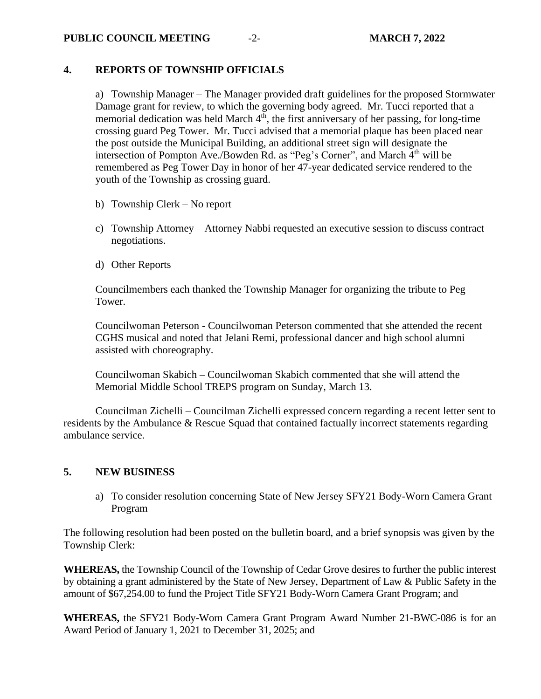#### **PUBLIC COUNCIL MEETING**  $-2$ -<br>**MARCH 7, 2022**

# **4. REPORTS OF TOWNSHIP OFFICIALS**

a) Township Manager – The Manager provided draft guidelines for the proposed Stormwater Damage grant for review, to which the governing body agreed. Mr. Tucci reported that a memorial dedication was held March  $4<sup>th</sup>$ , the first anniversary of her passing, for long-time crossing guard Peg Tower. Mr. Tucci advised that a memorial plaque has been placed near the post outside the Municipal Building, an additional street sign will designate the intersection of Pompton Ave./Bowden Rd. as "Peg's Corner", and March 4<sup>th</sup> will be remembered as Peg Tower Day in honor of her 47-year dedicated service rendered to the youth of the Township as crossing guard.

- b) Township Clerk No report
- c) Township Attorney Attorney Nabbi requested an executive session to discuss contract negotiations.
- d) Other Reports

Councilmembers each thanked the Township Manager for organizing the tribute to Peg Tower.

Councilwoman Peterson - Councilwoman Peterson commented that she attended the recent CGHS musical and noted that Jelani Remi, professional dancer and high school alumni assisted with choreography.

Councilwoman Skabich – Councilwoman Skabich commented that she will attend the Memorial Middle School TREPS program on Sunday, March 13.

Councilman Zichelli – Councilman Zichelli expressed concern regarding a recent letter sent to residents by the Ambulance & Rescue Squad that contained factually incorrect statements regarding ambulance service.

# **5. NEW BUSINESS**

a) To consider resolution concerning State of New Jersey SFY21 Body-Worn Camera Grant Program

The following resolution had been posted on the bulletin board, and a brief synopsis was given by the Township Clerk:

**WHEREAS,** the Township Council of the Township of Cedar Grove desires to further the public interest by obtaining a grant administered by the State of New Jersey, Department of Law & Public Safety in the amount of \$67,254.00 to fund the Project Title SFY21 Body-Worn Camera Grant Program; and

**WHEREAS,** the SFY21 Body-Worn Camera Grant Program Award Number 21-BWC-086 is for an Award Period of January 1, 2021 to December 31, 2025; and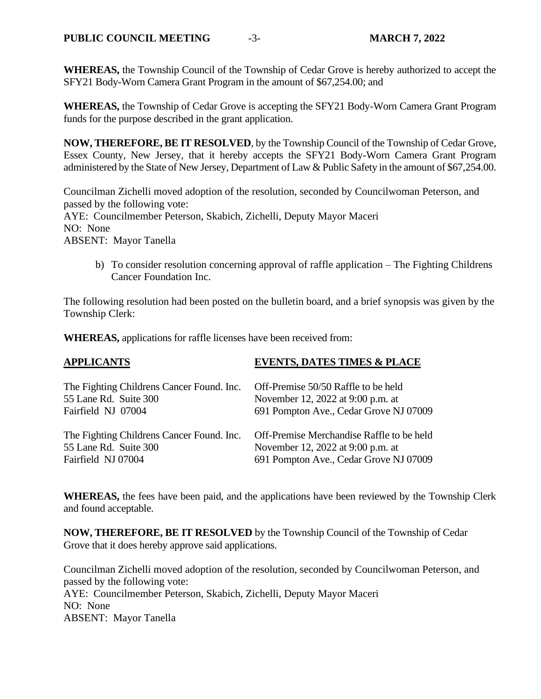**WHEREAS,** the Township Council of the Township of Cedar Grove is hereby authorized to accept the SFY21 Body-Worn Camera Grant Program in the amount of \$67,254.00; and

**WHEREAS,** the Township of Cedar Grove is accepting the SFY21 Body-Worn Camera Grant Program funds for the purpose described in the grant application.

**NOW, THEREFORE, BE IT RESOLVED**, by the Township Council of the Township of Cedar Grove, Essex County, New Jersey, that it hereby accepts the SFY21 Body-Worn Camera Grant Program administered by the State of New Jersey, Department of Law & Public Safety in the amount of \$67,254.00.

Councilman Zichelli moved adoption of the resolution, seconded by Councilwoman Peterson, and passed by the following vote: AYE: Councilmember Peterson, Skabich, Zichelli, Deputy Mayor Maceri NO: None ABSENT: Mayor Tanella

b) To consider resolution concerning approval of raffle application – The Fighting Childrens Cancer Foundation Inc.

The following resolution had been posted on the bulletin board, and a brief synopsis was given by the Township Clerk:

**WHEREAS,** applications for raffle licenses have been received from:

| <b>APPLICANTS</b>                         | <b>EVENTS, DATES TIMES &amp; PLACE</b>    |
|-------------------------------------------|-------------------------------------------|
| The Fighting Childrens Cancer Found. Inc. | Off-Premise 50/50 Raffle to be held       |
| 55 Lane Rd. Suite 300                     | November 12, 2022 at 9:00 p.m. at         |
| Fairfield NJ 07004                        | 691 Pompton Ave., Cedar Grove NJ 07009    |
| The Fighting Childrens Cancer Found. Inc. | Off-Premise Merchandise Raffle to be held |
| 55 Lane Rd. Suite 300                     | November 12, 2022 at 9:00 p.m. at         |
| Fairfield NJ 07004                        | 691 Pompton Ave., Cedar Grove NJ 07009    |

**WHEREAS,** the fees have been paid, and the applications have been reviewed by the Township Clerk and found acceptable.

**NOW, THEREFORE, BE IT RESOLVED** by the Township Council of the Township of Cedar Grove that it does hereby approve said applications.

Councilman Zichelli moved adoption of the resolution, seconded by Councilwoman Peterson, and passed by the following vote: AYE: Councilmember Peterson, Skabich, Zichelli, Deputy Mayor Maceri NO: None ABSENT: Mayor Tanella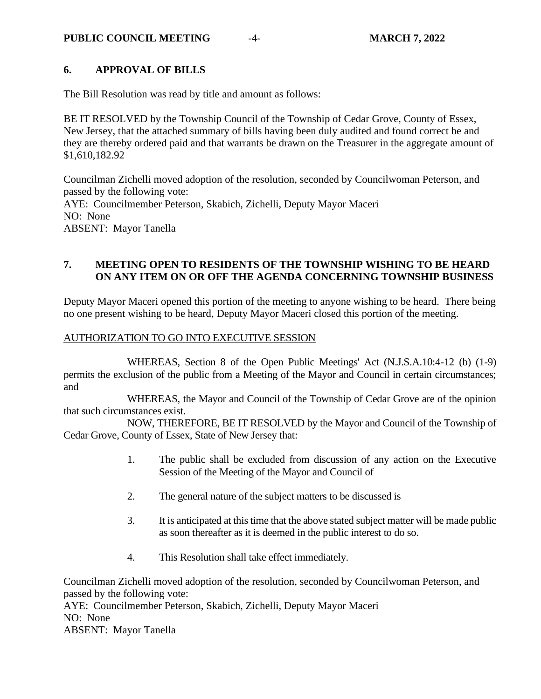#### **PUBLIC COUNCIL MEETING**  $-4$ -<br>**MARCH 7, 2022**

# **6. APPROVAL OF BILLS**

The Bill Resolution was read by title and amount as follows:

BE IT RESOLVED by the Township Council of the Township of Cedar Grove, County of Essex, New Jersey, that the attached summary of bills having been duly audited and found correct be and they are thereby ordered paid and that warrants be drawn on the Treasurer in the aggregate amount of \$1,610,182.92

Councilman Zichelli moved adoption of the resolution, seconded by Councilwoman Peterson, and passed by the following vote: AYE: Councilmember Peterson, Skabich, Zichelli, Deputy Mayor Maceri NO: None ABSENT: Mayor Tanella

## **7. MEETING OPEN TO RESIDENTS OF THE TOWNSHIP WISHING TO BE HEARD ON ANY ITEM ON OR OFF THE AGENDA CONCERNING TOWNSHIP BUSINESS**

Deputy Mayor Maceri opened this portion of the meeting to anyone wishing to be heard. There being no one present wishing to be heard, Deputy Mayor Maceri closed this portion of the meeting.

#### AUTHORIZATION TO GO INTO EXECUTIVE SESSION

WHEREAS, Section 8 of the Open Public Meetings' Act (N.J.S.A.10:4-12 (b) (1-9) permits the exclusion of the public from a Meeting of the Mayor and Council in certain circumstances; and

WHEREAS, the Mayor and Council of the Township of Cedar Grove are of the opinion that such circumstances exist.

NOW, THEREFORE, BE IT RESOLVED by the Mayor and Council of the Township of Cedar Grove, County of Essex, State of New Jersey that:

- 1. The public shall be excluded from discussion of any action on the Executive Session of the Meeting of the Mayor and Council of
- 2. The general nature of the subject matters to be discussed is
- 3. It is anticipated at this time that the above stated subject matter will be made public as soon thereafter as it is deemed in the public interest to do so.
- 4. This Resolution shall take effect immediately.

Councilman Zichelli moved adoption of the resolution, seconded by Councilwoman Peterson, and passed by the following vote: AYE: Councilmember Peterson, Skabich, Zichelli, Deputy Mayor Maceri NO: None ABSENT: Mayor Tanella